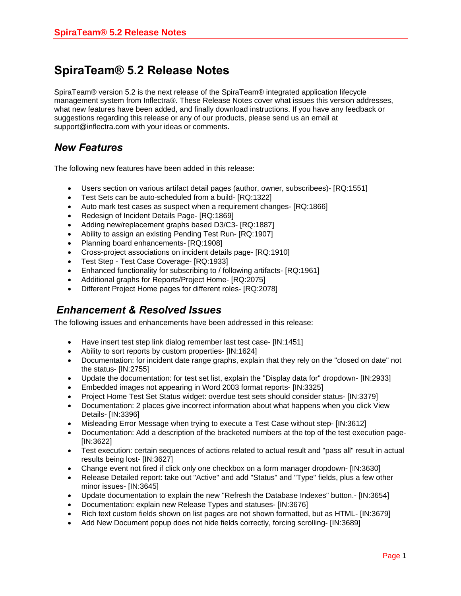## **SpiraTeam® 5.2 Release Notes**

SpiraTeam® version 5.2 is the next release of the SpiraTeam® integrated application lifecycle management system from Inflectra®. These Release Notes cover what issues this version addresses, what new features have been added, and finally download instructions. If you have any feedback or suggestions regarding this release or any of our products, please send us an email at support@inflectra.com with your ideas or comments.

## *New Features*

The following new features have been added in this release:

- Users section on various artifact detail pages (author, owner, subscribees)- [RQ:1551]
- Test Sets can be auto-scheduled from a build- [RQ:1322]
- Auto mark test cases as suspect when a requirement changes- [RQ:1866]
- Redesign of Incident Details Page- [RQ:1869]
- Adding new/replacement graphs based D3/C3- [RQ:1887]
- Ability to assign an existing Pending Test Run- [RQ:1907]
- Planning board enhancements- [RQ:1908]
- Cross-project associations on incident details page- [RQ:1910]
- Test Step Test Case Coverage- [RQ:1933]
- Enhanced functionality for subscribing to / following artifacts- [RQ:1961]
- Additional graphs for Reports/Project Home- [RQ:2075]
- Different Project Home pages for different roles- [RQ:2078]

## *Enhancement & Resolved Issues*

The following issues and enhancements have been addressed in this release:

- Have insert test step link dialog remember last test case- [IN:1451]
- Ability to sort reports by custom properties- [IN:1624]
- Documentation: for incident date range graphs, explain that they rely on the "closed on date" not the status- [IN:2755]
- Update the documentation: for test set list, explain the "Display data for" dropdown- [IN:2933]
- Embedded images not appearing in Word 2003 format reports- [IN:3325]
- Project Home Test Set Status widget: overdue test sets should consider status- [IN:3379]
- Documentation: 2 places give incorrect information about what happens when you click View Details- [IN:3396]
- Misleading Error Message when trying to execute a Test Case without step- [IN:3612]
- Documentation: Add a description of the bracketed numbers at the top of the test execution page- [IN:3622]
- Test execution: certain sequences of actions related to actual result and "pass all" result in actual results being lost- [IN:3627]
- Change event not fired if click only one checkbox on a form manager dropdown- [IN:3630]
- Release Detailed report: take out "Active" and add "Status" and "Type" fields, plus a few other minor issues- [IN:3645]
- Update documentation to explain the new "Refresh the Database Indexes" button.- [IN:3654]
- Documentation: explain new Release Types and statuses- [IN:3676]
- Rich text custom fields shown on list pages are not shown formatted, but as HTML- [IN:3679]
- Add New Document popup does not hide fields correctly, forcing scrolling- [IN:3689]